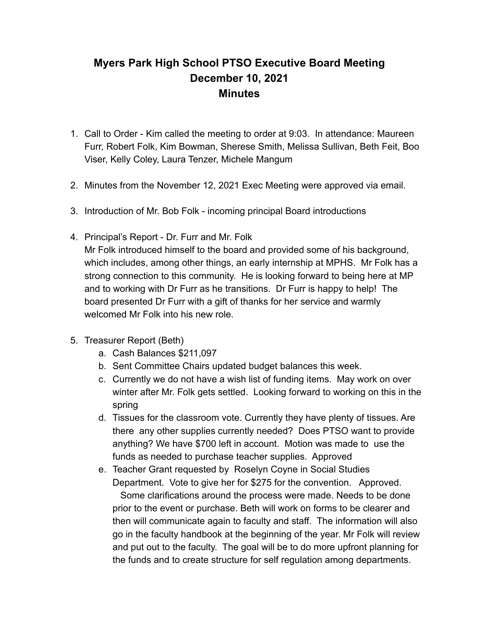## **Myers Park High School PTSO Executive Board Meeting December 10, 2021 Minutes**

- 1. Call to Order Kim called the meeting to order at 9:03. In attendance: Maureen Furr, Robert Folk, Kim Bowman, Sherese Smith, Melissa Sullivan, Beth Feit, Boo Viser, Kelly Coley, Laura Tenzer, Michele Mangum
- 2. Minutes from the November 12, 2021 Exec Meeting were approved via email.
- 3. Introduction of Mr. Bob Folk incoming principal Board introductions
- 4. Principal's Report Dr. Furr and Mr. Folk

Mr Folk introduced himself to the board and provided some of his background, which includes, among other things, an early internship at MPHS. Mr Folk has a strong connection to this community. He is looking forward to being here at MP and to working with Dr Furr as he transitions. Dr Furr is happy to help! The board presented Dr Furr with a gift of thanks for her service and warmly welcomed Mr Folk into his new role.

- 5. Treasurer Report (Beth)
	- a. Cash Balances \$211,097
	- b. Sent Committee Chairs updated budget balances this week.
	- c. Currently we do not have a wish list of funding items. May work on over winter after Mr. Folk gets settled. Looking forward to working on this in the spring
	- d. Tissues for the classroom vote. Currently they have plenty of tissues. Are there any other supplies currently needed? Does PTSO want to provide anything? We have \$700 left in account. Motion was made to use the funds as needed to purchase teacher supplies. Approved
	- e. Teacher Grant requested by Roselyn Coyne in Social Studies Department. Vote to give her for \$275 for the convention. Approved. Some clarifications around the process were made. Needs to be done prior to the event or purchase. Beth will work on forms to be clearer and then will communicate again to faculty and staff. The information will also go in the faculty handbook at the beginning of the year. Mr Folk will review and put out to the faculty. The goal will be to do more upfront planning for the funds and to create structure for self regulation among departments.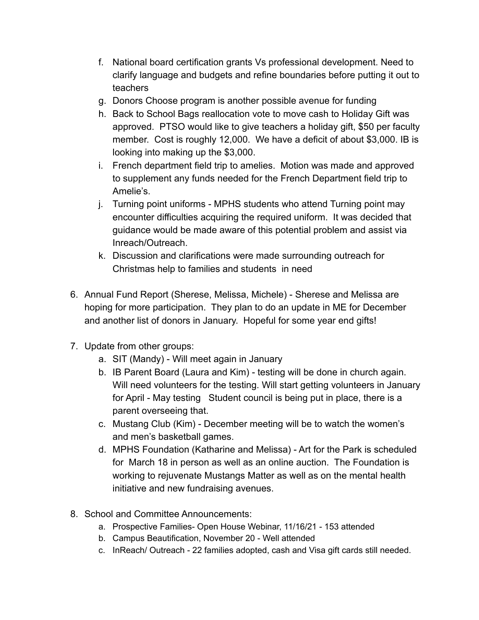- f. National board certification grants Vs professional development. Need to clarify language and budgets and refine boundaries before putting it out to teachers
- g. Donors Choose program is another possible avenue for funding
- h. Back to School Bags reallocation vote to move cash to Holiday Gift was approved. PTSO would like to give teachers a holiday gift, \$50 per faculty member. Cost is roughly 12,000. We have a deficit of about \$3,000. IB is looking into making up the \$3,000.
- i. French department field trip to amelies. Motion was made and approved to supplement any funds needed for the French Department field trip to Amelie's.
- j. Turning point uniforms MPHS students who attend Turning point may encounter difficulties acquiring the required uniform. It was decided that guidance would be made aware of this potential problem and assist via Inreach/Outreach.
- k. Discussion and clarifications were made surrounding outreach for Christmas help to families and students in need
- 6. Annual Fund Report (Sherese, Melissa, Michele) Sherese and Melissa are hoping for more participation. They plan to do an update in ME for December and another list of donors in January. Hopeful for some year end gifts!
- 7. Update from other groups:
	- a. SIT (Mandy) Will meet again in January
	- b. IB Parent Board (Laura and Kim) testing will be done in church again. Will need volunteers for the testing. Will start getting volunteers in January for April - May testing Student council is being put in place, there is a parent overseeing that.
	- c. Mustang Club (Kim) December meeting will be to watch the women's and men's basketball games.
	- d. MPHS Foundation (Katharine and Melissa) Art for the Park is scheduled for March 18 in person as well as an online auction. The Foundation is working to rejuvenate Mustangs Matter as well as on the mental health initiative and new fundraising avenues.
- 8. School and Committee Announcements:
	- a. Prospective Families- Open House Webinar, 11/16/21 153 attended
	- b. Campus Beautification, November 20 Well attended
	- c. InReach/ Outreach 22 families adopted, cash and Visa gift cards still needed.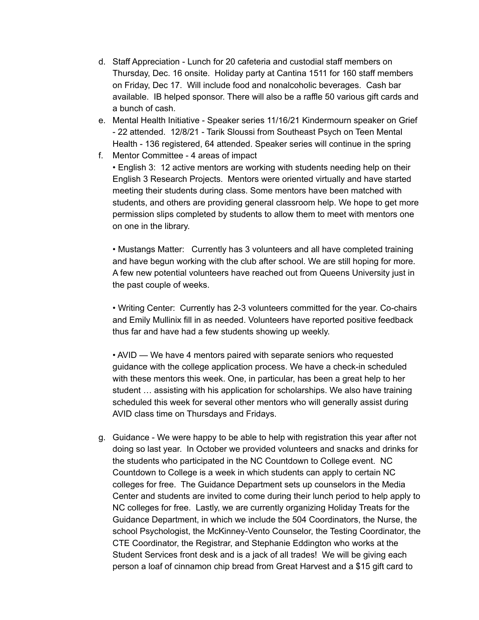- d. Staff Appreciation Lunch for 20 cafeteria and custodial staff members on Thursday, Dec. 16 onsite. Holiday party at Cantina 1511 for 160 staff members on Friday, Dec 17. Will include food and nonalcoholic beverages. Cash bar available. IB helped sponsor. There will also be a raffle 50 various gift cards and a bunch of cash.
- e. Mental Health Initiative Speaker series 11/16/21 Kindermourn speaker on Grief - 22 attended. 12/8/21 - Tarik Sloussi from Southeast Psych on Teen Mental Health - 136 registered, 64 attended. Speaker series will continue in the spring
- f. Mentor Committee 4 areas of impact • English 3: 12 active mentors are working with students needing help on their English 3 Research Projects. Mentors were oriented virtually and have started meeting their students during class. Some mentors have been matched with students, and others are providing general classroom help. We hope to get more permission slips completed by students to allow them to meet with mentors one on one in the library.

• Mustangs Matter: Currently has 3 volunteers and all have completed training and have begun working with the club after school. We are still hoping for more. A few new potential volunteers have reached out from Queens University just in the past couple of weeks.

• Writing Center: Currently has 2-3 volunteers committed for the year. Co-chairs and Emily Mullinix fill in as needed. Volunteers have reported positive feedback thus far and have had a few students showing up weekly.

• AVID — We have 4 mentors paired with separate seniors who requested guidance with the college application process. We have a check-in scheduled with these mentors this week. One, in particular, has been a great help to her student … assisting with his application for scholarships. We also have training scheduled this week for several other mentors who will generally assist during AVID class time on Thursdays and Fridays.

g. Guidance - We were happy to be able to help with registration this year after not doing so last year. In October we provided volunteers and snacks and drinks for the students who participated in the NC Countdown to College event. NC Countdown to College is a week in which students can apply to certain NC colleges for free. The Guidance Department sets up counselors in the Media Center and students are invited to come during their lunch period to help apply to NC colleges for free. Lastly, we are currently organizing Holiday Treats for the Guidance Department, in which we include the 504 Coordinators, the Nurse, the school Psychologist, the McKinney-Vento Counselor, the Testing Coordinator, the CTE Coordinator, the Registrar, and Stephanie Eddington who works at the Student Services front desk and is a jack of all trades! We will be giving each person a loaf of cinnamon chip bread from Great Harvest and a \$15 gift card to